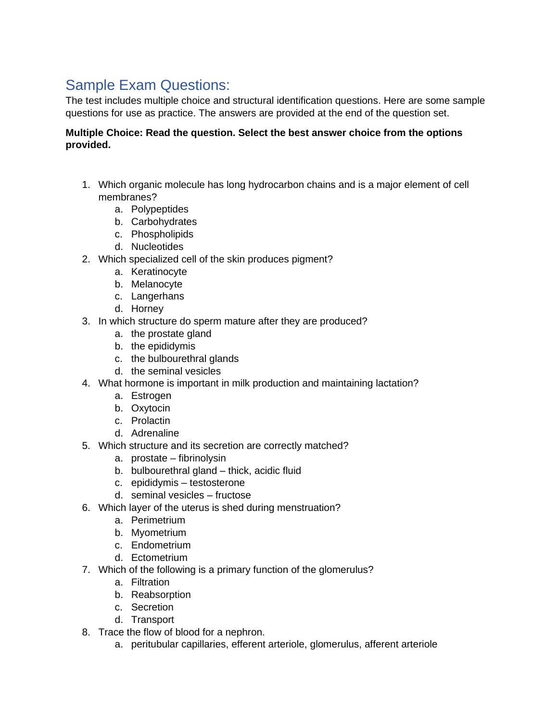# Sample Exam Questions:

The test includes multiple choice and structural identification questions. Here are some sample questions for use as practice. The answers are provided at the end of the question set.

## **Multiple Choice: Read the question. Select the best answer choice from the options provided.**

- 1. Which organic molecule has long hydrocarbon chains and is a major element of cell membranes?
	- a. Polypeptides
	- b. Carbohydrates
	- c. Phospholipids
	- d. Nucleotides
- 2. Which specialized cell of the skin produces pigment?
	- a. Keratinocyte
	- b. Melanocyte
	- c. Langerhans
	- d. Horney
- 3. In which structure do sperm mature after they are produced?
	- a. the prostate gland
	- b. the epididymis
	- c. the bulbourethral glands
	- d. the seminal vesicles
- 4. What hormone is important in milk production and maintaining lactation?
	- a. Estrogen
	- b. Oxytocin
	- c. Prolactin
	- d. Adrenaline
- 5. Which structure and its secretion are correctly matched?
	- a. prostate fibrinolysin
	- b. bulbourethral gland thick, acidic fluid
	- c. epididymis testosterone
	- d. seminal vesicles fructose
- 6. Which layer of the uterus is shed during menstruation?
	- a. Perimetrium
	- b. Myometrium
	- c. Endometrium
	- d. Ectometrium
- 7. Which of the following is a primary function of the glomerulus?
	- a. Filtration
	- b. Reabsorption
	- c. Secretion
	- d. Transport
- 8. Trace the flow of blood for a nephron.
	- a. peritubular capillaries, efferent arteriole, glomerulus, afferent arteriole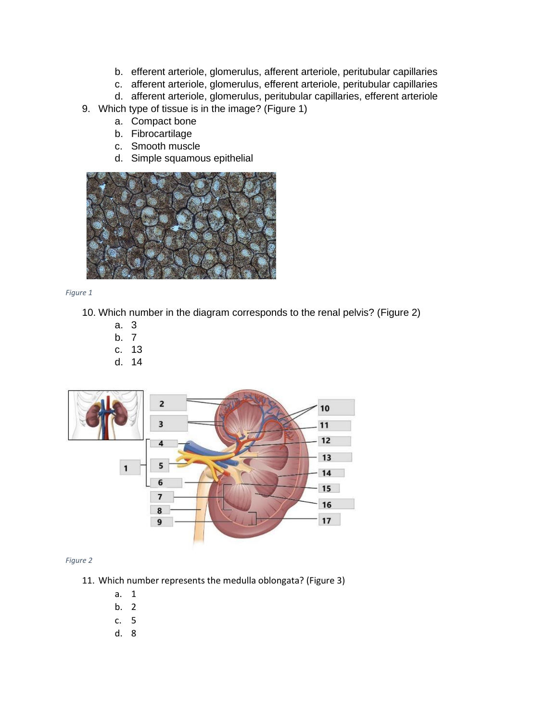- b. efferent arteriole, glomerulus, afferent arteriole, peritubular capillaries
- c. afferent arteriole, glomerulus, efferent arteriole, peritubular capillaries
- d. afferent arteriole, glomerulus, peritubular capillaries, efferent arteriole
- 9. Which type of tissue is in the image? (Figure 1)
	- a. Compact bone
	- b. Fibrocartilage
	- c. Smooth muscle
	- d. Simple squamous epithelial



*Figure 1*

- 10. Which number in the diagram corresponds to the renal pelvis? (Figure 2)
	- a. 3
	- b. 7
	- c. 13
	- d. 14



#### *Figure 2*

- 11. Which number represents the medulla oblongata? (Figure 3)
	- a. 1
	- b. 2
	- c. 5
	- d. 8